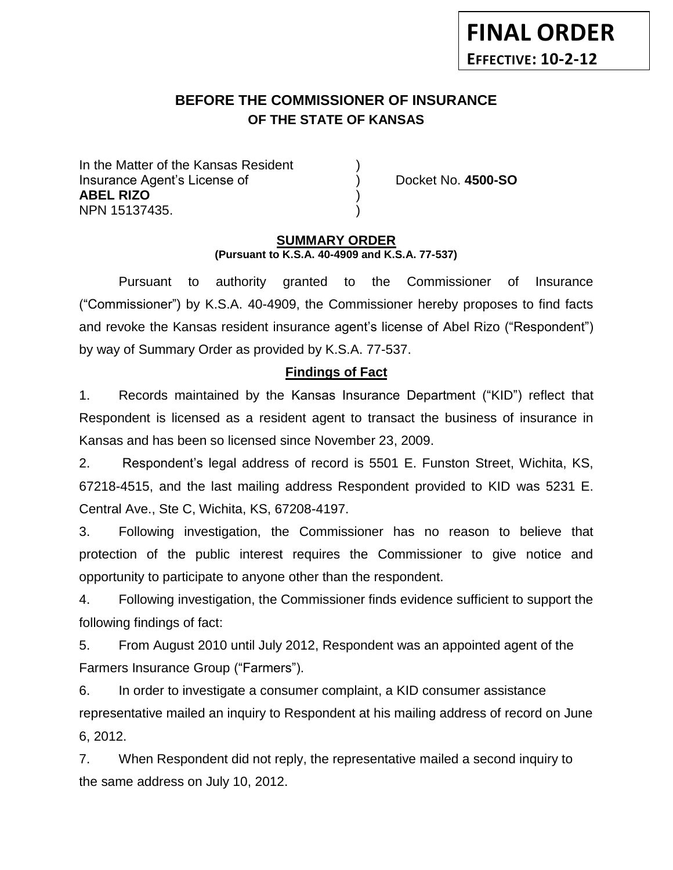### **BEFORE THE COMMISSIONER OF INSURANCE OF THE STATE OF KANSAS** *-12*

In the Matter of the Kansas Resident Insurance Agent's License of ) Docket No. **4500-SO ABEL RIZO** ) NPN 15137435. )

**FINAL ORDER**

**EFFECTIVE: 10-2-12**

### **SUMMARY ORDER (Pursuant to K.S.A. 40-4909 and K.S.A. 77-537)**

Pursuant to authority granted to the Commissioner of Insurance ("Commissioner") by K.S.A. 40-4909, the Commissioner hereby proposes to find facts and revoke the Kansas resident insurance agent's license of Abel Rizo ("Respondent") by way of Summary Order as provided by K.S.A. 77-537.

## **Findings of Fact**

1. Records maintained by the Kansas Insurance Department ("KID") reflect that Respondent is licensed as a resident agent to transact the business of insurance in Kansas and has been so licensed since November 23, 2009.

2. Respondent's legal address of record is 5501 E. Funston Street, Wichita, KS, 67218-4515, and the last mailing address Respondent provided to KID was 5231 E. Central Ave., Ste C, Wichita, KS, 67208-4197.

3. Following investigation, the Commissioner has no reason to believe that protection of the public interest requires the Commissioner to give notice and opportunity to participate to anyone other than the respondent.

4. Following investigation, the Commissioner finds evidence sufficient to support the following findings of fact:

5. From August 2010 until July 2012, Respondent was an appointed agent of the Farmers Insurance Group ("Farmers").

6. In order to investigate a consumer complaint, a KID consumer assistance representative mailed an inquiry to Respondent at his mailing address of record on June 6, 2012.

7. When Respondent did not reply, the representative mailed a second inquiry to the same address on July 10, 2012.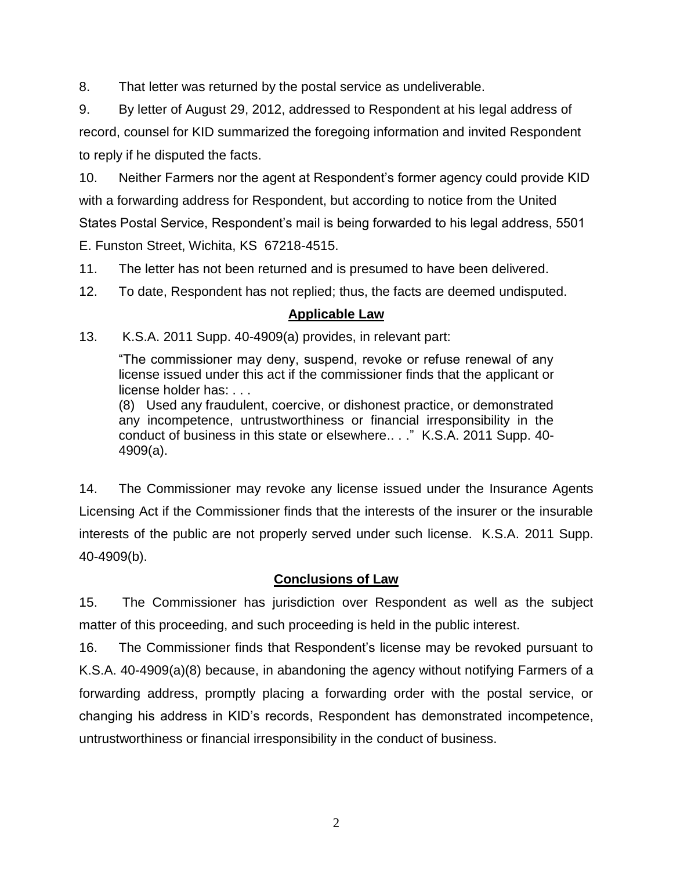8. That letter was returned by the postal service as undeliverable.

9. By letter of August 29, 2012, addressed to Respondent at his legal address of record, counsel for KID summarized the foregoing information and invited Respondent to reply if he disputed the facts.

10. Neither Farmers nor the agent at Respondent's former agency could provide KID with a forwarding address for Respondent, but according to notice from the United States Postal Service, Respondent's mail is being forwarded to his legal address, 5501 E. Funston Street, Wichita, KS 67218-4515.

11. The letter has not been returned and is presumed to have been delivered.

12. To date, Respondent has not replied; thus, the facts are deemed undisputed.

# **Applicable Law**

13. K.S.A. 2011 Supp. 40-4909(a) provides, in relevant part:

"The commissioner may deny, suspend, revoke or refuse renewal of any license issued under this act if the commissioner finds that the applicant or license holder has: . . .

(8) Used any fraudulent, coercive, or dishonest practice, or demonstrated any incompetence, untrustworthiness or financial irresponsibility in the conduct of business in this state or elsewhere.. . ." K.S.A. 2011 Supp. 40- 4909(a).

14. The Commissioner may revoke any license issued under the Insurance Agents Licensing Act if the Commissioner finds that the interests of the insurer or the insurable interests of the public are not properly served under such license. K.S.A. 2011 Supp. 40-4909(b).

# **Conclusions of Law**

15. The Commissioner has jurisdiction over Respondent as well as the subject matter of this proceeding, and such proceeding is held in the public interest.

16. The Commissioner finds that Respondent's license may be revoked pursuant to K.S.A. 40-4909(a)(8) because, in abandoning the agency without notifying Farmers of a forwarding address, promptly placing a forwarding order with the postal service, or changing his address in KID's records, Respondent has demonstrated incompetence, untrustworthiness or financial irresponsibility in the conduct of business.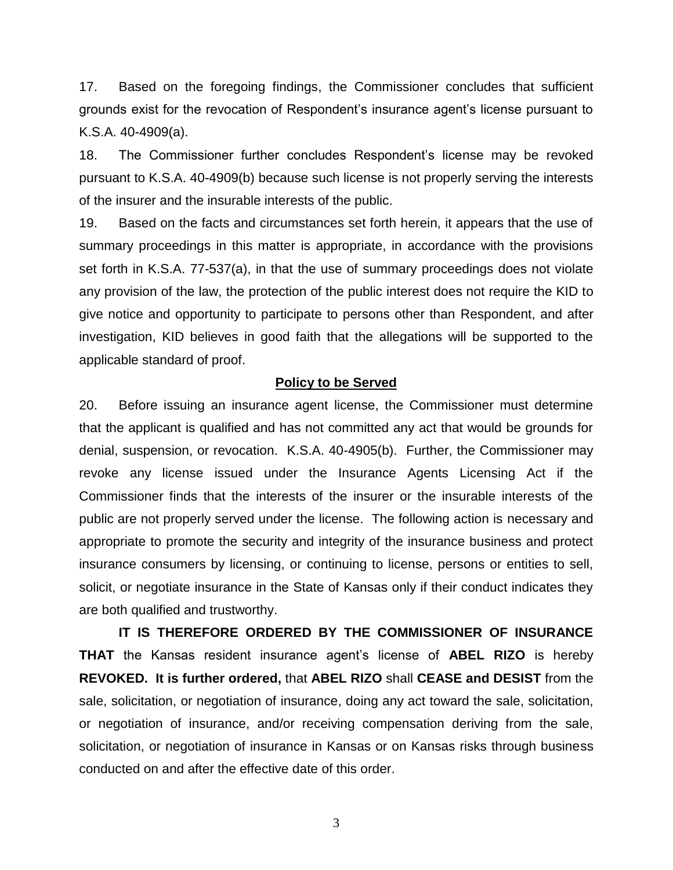17. Based on the foregoing findings, the Commissioner concludes that sufficient grounds exist for the revocation of Respondent's insurance agent's license pursuant to K.S.A. 40-4909(a).

18. The Commissioner further concludes Respondent's license may be revoked pursuant to K.S.A. 40-4909(b) because such license is not properly serving the interests of the insurer and the insurable interests of the public.

19. Based on the facts and circumstances set forth herein, it appears that the use of summary proceedings in this matter is appropriate, in accordance with the provisions set forth in K.S.A. 77-537(a), in that the use of summary proceedings does not violate any provision of the law, the protection of the public interest does not require the KID to give notice and opportunity to participate to persons other than Respondent, and after investigation, KID believes in good faith that the allegations will be supported to the applicable standard of proof.

#### **Policy to be Served**

20. Before issuing an insurance agent license, the Commissioner must determine that the applicant is qualified and has not committed any act that would be grounds for denial, suspension, or revocation. K.S.A. 40-4905(b). Further, the Commissioner may revoke any license issued under the Insurance Agents Licensing Act if the Commissioner finds that the interests of the insurer or the insurable interests of the public are not properly served under the license. The following action is necessary and appropriate to promote the security and integrity of the insurance business and protect insurance consumers by licensing, or continuing to license, persons or entities to sell, solicit, or negotiate insurance in the State of Kansas only if their conduct indicates they are both qualified and trustworthy.

**IT IS THEREFORE ORDERED BY THE COMMISSIONER OF INSURANCE THAT** the Kansas resident insurance agent's license of **ABEL RIZO** is hereby **REVOKED. It is further ordered,** that **ABEL RIZO** shall **CEASE and DESIST** from the sale, solicitation, or negotiation of insurance, doing any act toward the sale, solicitation, or negotiation of insurance, and/or receiving compensation deriving from the sale, solicitation, or negotiation of insurance in Kansas or on Kansas risks through business conducted on and after the effective date of this order.

3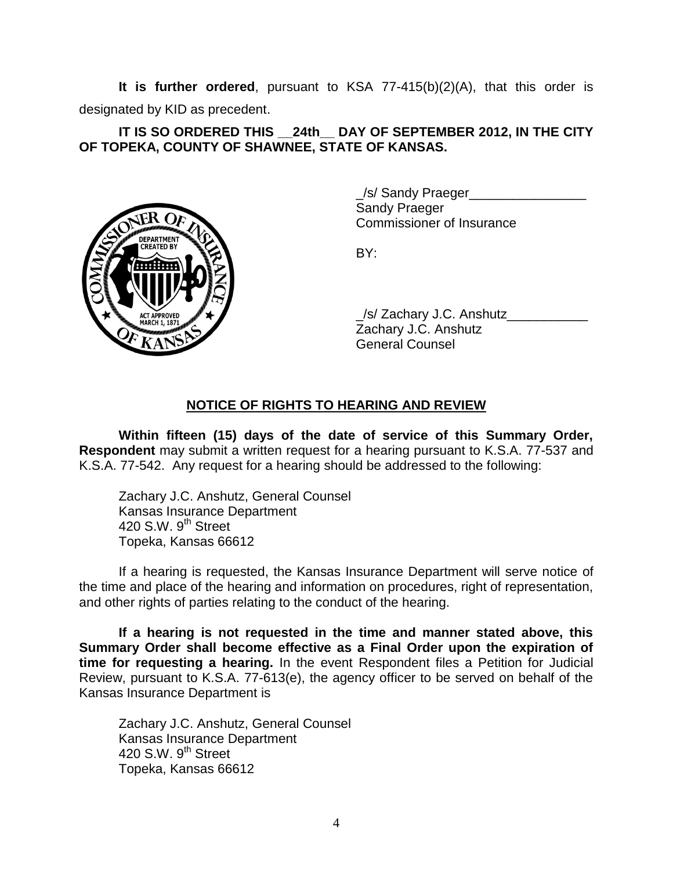**It is further ordered**, pursuant to KSA 77-415(b)(2)(A), that this order is designated by KID as precedent.

## **IT IS SO ORDERED THIS \_\_24th\_\_ DAY OF SEPTEMBER 2012, IN THE CITY OF TOPEKA, COUNTY OF SHAWNEE, STATE OF KANSAS.**



\_/s/ Sandy Praeger\_\_\_\_\_\_\_\_\_\_\_\_\_\_\_\_ Sandy Praeger Commissioner of Insurance

BY:

/s/ Zachary J.C. Anshutz Zachary J.C. Anshutz General Counsel

# **NOTICE OF RIGHTS TO HEARING AND REVIEW**

**Within fifteen (15) days of the date of service of this Summary Order, Respondent** may submit a written request for a hearing pursuant to K.S.A. 77-537 and K.S.A. 77-542. Any request for a hearing should be addressed to the following:

Zachary J.C. Anshutz, General Counsel Kansas Insurance Department 420 S.W.  $9<sup>th</sup>$  Street Topeka, Kansas 66612

If a hearing is requested, the Kansas Insurance Department will serve notice of the time and place of the hearing and information on procedures, right of representation, and other rights of parties relating to the conduct of the hearing.

**If a hearing is not requested in the time and manner stated above, this Summary Order shall become effective as a Final Order upon the expiration of time for requesting a hearing.** In the event Respondent files a Petition for Judicial Review, pursuant to K.S.A. 77-613(e), the agency officer to be served on behalf of the Kansas Insurance Department is

Zachary J.C. Anshutz, General Counsel Kansas Insurance Department 420 S.W.  $9<sup>th</sup>$  Street Topeka, Kansas 66612